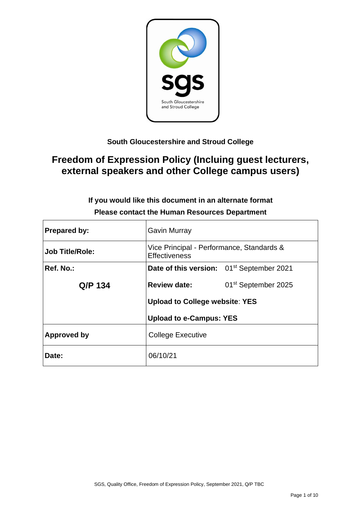

# **South Gloucestershire and Stroud College**

# **Freedom of Expression Policy (Incluing guest lecturers, external speakers and other College campus users)**

| <b>Prepared by:</b>    | <b>Gavin Murray</b>                                               |  |  |  |
|------------------------|-------------------------------------------------------------------|--|--|--|
| <b>Job Title/Role:</b> | Vice Principal - Performance, Standards &<br><b>Effectiveness</b> |  |  |  |
| Ref. No.:              | Date of this version: 01 <sup>st</sup> September 2021             |  |  |  |
| Q/P 134                | 01 <sup>st</sup> September 2025<br><b>Review date:</b>            |  |  |  |
|                        | <b>Upload to College website: YES</b>                             |  |  |  |
|                        | <b>Upload to e-Campus: YES</b>                                    |  |  |  |
| <b>Approved by</b>     | <b>College Executive</b>                                          |  |  |  |
| Date:                  | 06/10/21                                                          |  |  |  |

# **If you would like this document in an alternate format Please contact the Human Resources Department**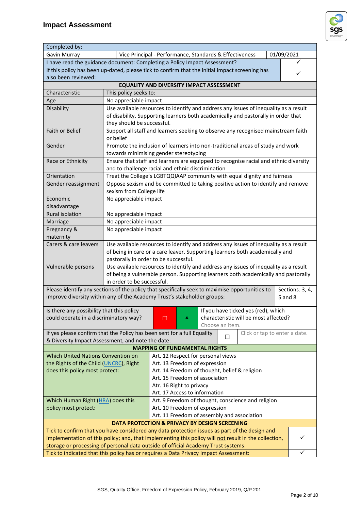

| Completed by:                                                                                                                                                                  |                                                                                 |                                                                                                                               |                 |                                       |             |                 |
|--------------------------------------------------------------------------------------------------------------------------------------------------------------------------------|---------------------------------------------------------------------------------|-------------------------------------------------------------------------------------------------------------------------------|-----------------|---------------------------------------|-------------|-----------------|
| Gavin Murray                                                                                                                                                                   | 01/09/2021<br>Vice Principal - Performance, Standards & Effectiveness           |                                                                                                                               |                 |                                       |             |                 |
|                                                                                                                                                                                | I have read the guidance document: Completing a Policy Impact Assessment?       |                                                                                                                               |                 |                                       |             |                 |
| If this policy has been up-dated, please tick to confirm that the initial impact screening has                                                                                 |                                                                                 |                                                                                                                               |                 |                                       |             |                 |
| also been reviewed:                                                                                                                                                            |                                                                                 |                                                                                                                               |                 |                                       |             | ✓               |
|                                                                                                                                                                                |                                                                                 | EQUALITY AND DIVERSITY IMPACT ASSESSMENT                                                                                      |                 |                                       |             |                 |
| Characteristic                                                                                                                                                                 | This policy seeks to:                                                           |                                                                                                                               |                 |                                       |             |                 |
| Age                                                                                                                                                                            | No appreciable impact                                                           |                                                                                                                               |                 |                                       |             |                 |
| Disability                                                                                                                                                                     |                                                                                 | Use available resources to identify and address any issues of inequality as a result                                          |                 |                                       |             |                 |
|                                                                                                                                                                                |                                                                                 | of disability. Supporting learners both academically and pastorally in order that                                             |                 |                                       |             |                 |
|                                                                                                                                                                                | they should be successful.                                                      |                                                                                                                               |                 |                                       |             |                 |
| <b>Faith or Belief</b>                                                                                                                                                         |                                                                                 | Support all staff and learners seeking to observe any recognised mainstream faith                                             |                 |                                       |             |                 |
|                                                                                                                                                                                | or belief                                                                       |                                                                                                                               |                 |                                       |             |                 |
| Gender                                                                                                                                                                         |                                                                                 | Promote the inclusion of learners into non-traditional areas of study and work                                                |                 |                                       |             |                 |
|                                                                                                                                                                                |                                                                                 | towards minimising gender stereotyping                                                                                        |                 |                                       |             |                 |
| Race or Ethnicity                                                                                                                                                              |                                                                                 | Ensure that staff and learners are equipped to recognise racial and ethnic diversity                                          |                 |                                       |             |                 |
|                                                                                                                                                                                |                                                                                 | and to challenge racial and ethnic discrimination                                                                             |                 |                                       |             |                 |
| Orientation                                                                                                                                                                    |                                                                                 | Treat the College's LGBTQQIAAP community with equal dignity and fairness                                                      |                 |                                       |             |                 |
| Gender reassignment                                                                                                                                                            |                                                                                 | Oppose sexism and be committed to taking positive action to identify and remove                                               |                 |                                       |             |                 |
|                                                                                                                                                                                | sexism from College life                                                        |                                                                                                                               |                 |                                       |             |                 |
| Economic                                                                                                                                                                       | No appreciable impact                                                           |                                                                                                                               |                 |                                       |             |                 |
| disadvantage                                                                                                                                                                   |                                                                                 |                                                                                                                               |                 |                                       |             |                 |
| Rural isolation                                                                                                                                                                | No appreciable impact                                                           |                                                                                                                               |                 |                                       |             |                 |
|                                                                                                                                                                                | No appreciable impact                                                           |                                                                                                                               |                 |                                       |             |                 |
| Marriage                                                                                                                                                                       |                                                                                 |                                                                                                                               |                 |                                       |             |                 |
| Pregnancy &                                                                                                                                                                    | No appreciable impact                                                           |                                                                                                                               |                 |                                       |             |                 |
| maternity                                                                                                                                                                      |                                                                                 |                                                                                                                               |                 |                                       |             |                 |
| Carers & care leavers                                                                                                                                                          |                                                                                 | Use available resources to identify and address any issues of inequality as a result                                          |                 |                                       |             |                 |
|                                                                                                                                                                                |                                                                                 | of being in care or a care leaver. Supporting learners both academically and                                                  |                 |                                       |             |                 |
|                                                                                                                                                                                |                                                                                 | pastorally in order to be successful.<br>Use available resources to identify and address any issues of inequality as a result |                 |                                       |             |                 |
| Vulnerable persons                                                                                                                                                             |                                                                                 |                                                                                                                               |                 |                                       |             |                 |
|                                                                                                                                                                                | in order to be successful.                                                      | of being a vulnerable person. Supporting learners both academically and pastorally                                            |                 |                                       |             |                 |
| Please identify any sections of the policy that specifically seek to maximise opportunities to                                                                                 |                                                                                 |                                                                                                                               |                 |                                       |             | Sections: 3, 4, |
| improve diversity within any of the Academy Trust's stakeholder groups:                                                                                                        |                                                                                 |                                                                                                                               |                 |                                       |             |                 |
|                                                                                                                                                                                |                                                                                 |                                                                                                                               |                 |                                       | $5$ and $8$ |                 |
| Is there any possibility that this policy                                                                                                                                      |                                                                                 |                                                                                                                               |                 | If you have ticked yes (red), which   |             |                 |
| could operate in a discriminatory way?                                                                                                                                         |                                                                                 | ×<br>⊔                                                                                                                        |                 | characteristic will be most affected? |             |                 |
|                                                                                                                                                                                |                                                                                 |                                                                                                                               | Choose an item. |                                       |             |                 |
| If yes please confirm that the Policy has been sent for a full Equality                                                                                                        |                                                                                 |                                                                                                                               |                 | Click or tap to enter a date.         |             |                 |
| & Diversity Impact Assessment, and note the date:                                                                                                                              |                                                                                 |                                                                                                                               |                 | □                                     |             |                 |
|                                                                                                                                                                                |                                                                                 |                                                                                                                               |                 |                                       |             |                 |
| <b>MAPPING OF FUNDAMENTAL RIGHTS</b><br>Which United Nations Convention on<br>Art. 12 Respect for personal views                                                               |                                                                                 |                                                                                                                               |                 |                                       |             |                 |
|                                                                                                                                                                                | the Rights of the Child (UNCRC), Right<br>Art. 13 Freedom of expression         |                                                                                                                               |                 |                                       |             |                 |
|                                                                                                                                                                                | does this policy most protect:<br>Art. 14 Freedom of thought, belief & religion |                                                                                                                               |                 |                                       |             |                 |
|                                                                                                                                                                                | Art. 15 Freedom of association                                                  |                                                                                                                               |                 |                                       |             |                 |
| Atr. 16 Right to privacy                                                                                                                                                       |                                                                                 |                                                                                                                               |                 |                                       |             |                 |
|                                                                                                                                                                                | Art. 17 Access to information                                                   |                                                                                                                               |                 |                                       |             |                 |
| Art. 9 Freedom of thought, conscience and religion<br>Which Human Right (HRA) does this                                                                                        |                                                                                 |                                                                                                                               |                 |                                       |             |                 |
| policy most protect:                                                                                                                                                           | Art. 10 Freedom of expression                                                   |                                                                                                                               |                 |                                       |             |                 |
|                                                                                                                                                                                | Art. 11 Freedom of assembly and association                                     |                                                                                                                               |                 |                                       |             |                 |
| <b>DATA PROTECTION &amp; PRIVACY BY DESIGN SCREENING</b>                                                                                                                       |                                                                                 |                                                                                                                               |                 |                                       |             |                 |
| Tick to confirm that you have considered any data protection issues as part of the design and                                                                                  |                                                                                 |                                                                                                                               |                 |                                       |             |                 |
| implementation of this policy; and, that implementing this policy will not result in the collection,                                                                           |                                                                                 |                                                                                                                               |                 |                                       |             |                 |
|                                                                                                                                                                                |                                                                                 |                                                                                                                               |                 |                                       |             |                 |
| storage or processing of personal data outside of official Academy Trust systems:<br>Tick to indicated that this policy has or requires a Data Privacy Impact Assessment:<br>✓ |                                                                                 |                                                                                                                               |                 |                                       |             |                 |
|                                                                                                                                                                                |                                                                                 |                                                                                                                               |                 |                                       |             |                 |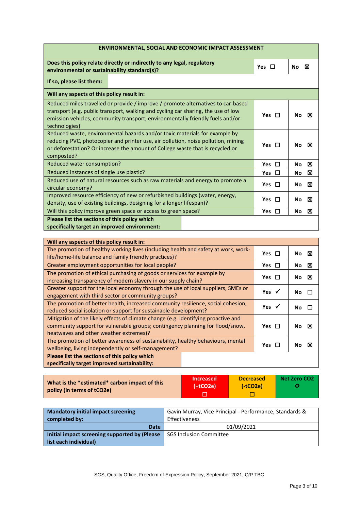| <b>ENVIRONMENTAL, SOCIAL AND ECONOMIC IMPACT ASSESSMENT</b>                                                                                                                                                                                                                                             |            |                              |  |  |
|---------------------------------------------------------------------------------------------------------------------------------------------------------------------------------------------------------------------------------------------------------------------------------------------------------|------------|------------------------------|--|--|
| Does this policy relate directly or indirectly to any legal, regulatory<br>environmental or sustainability standard(s)?                                                                                                                                                                                 | Yes $\Box$ | ⊠<br>No                      |  |  |
| If so, please list them:                                                                                                                                                                                                                                                                                |            |                              |  |  |
| Will any aspects of this policy result in:                                                                                                                                                                                                                                                              |            |                              |  |  |
| Reduced miles travelled or provide / improve / promote alternatives to car-based<br>transport (e.g. public transport, walking and cycling car sharing, the use of low<br>Yes $\Box$<br>⊠<br><b>No</b><br>emission vehicles, community transport, environmentally friendly fuels and/or<br>technologies) |            |                              |  |  |
| Reduced waste, environmental hazards and/or toxic materials for example by<br>reducing PVC, photocopier and printer use, air pollution, noise pollution, mining<br>Yes $\Box$<br>or deforestation? Or increase the amount of College waste that is recycled or<br>composted?                            |            |                              |  |  |
| Reduced water consumption?                                                                                                                                                                                                                                                                              |            | $\Box$<br>⊠<br><b>No</b>     |  |  |
| Reduced instances of single use plastic?                                                                                                                                                                                                                                                                |            | $\Box$<br>⊠<br><b>No</b>     |  |  |
| Reduced use of natural resources such as raw materials and energy to promote a<br>circular economy?                                                                                                                                                                                                     | Yes $\Box$ | ⊠<br><b>No</b>               |  |  |
| Improved resource efficiency of new or refurbished buildings (water, energy,<br>density, use of existing buildings, designing for a longer lifespan)?                                                                                                                                                   |            | Yes $\Box$<br>⊠<br><b>No</b> |  |  |
| Will this policy improve green space or access to green space?                                                                                                                                                                                                                                          |            | ⊠<br>Yes $\Box$<br><b>No</b> |  |  |
| Please list the sections of this policy which<br>specifically target an improved environment:                                                                                                                                                                                                           |            |                              |  |  |

| Will any aspects of this policy result in:                                         |                  |          |
|------------------------------------------------------------------------------------|------------------|----------|
| The promotion of healthy working lives (including health and safety at work, work- |                  | ⊠<br>No. |
| life/home-life balance and family friendly practices)?                             | Yes $\Box$       |          |
| Greater employment opportunities for local people?                                 | Yes $\Box$       | ⊠<br>No. |
| The promotion of ethical purchasing of goods or services for example by            | Yes $\Box$       | ⊠<br>No. |
| increasing transparency of modern slavery in our supply chain?                     |                  |          |
| Greater support for the local economy through the use of local suppliers, SMEs or  | Yes $\checkmark$ |          |
| engagement with third sector or community groups?                                  |                  | No.      |
| The promotion of better health, increased community resilience, social cohesion,   |                  | No.      |
| reduced social isolation or support for sustainable development?                   |                  |          |
| Mitigation of the likely effects of climate change (e.g. identifying proactive and |                  |          |
| community support for vulnerable groups; contingency planning for flood/snow,      |                  | No.<br>M |
| heatwaves and other weather extremes)?                                             |                  |          |
| The promotion of better awareness of sustainability, healthy behaviours, mental    |                  |          |
| wellbeing, living independently or self-management?                                | Yes $\Box$       | Nο       |
| Please list the sections of this policy which                                      |                  |          |
| specifically target improved sustainability:                                       |                  |          |

| What is the *estimated* carbon impact of this | <b>Increased</b> | <b>Decreased</b> | Net Zero CO2 |
|-----------------------------------------------|------------------|------------------|--------------|
| policy (in terms of tCO2e)                    | $(+tCO2e)$       | $(-tCO2e)$       |              |

| <b>Mandatory initial impact screening</b><br>completed by: | Gavin Murray, Vice Principal - Performance, Standards &<br><b>Effectiveness</b> |  |  |
|------------------------------------------------------------|---------------------------------------------------------------------------------|--|--|
| <b>Date</b>                                                | 01/09/2021                                                                      |  |  |
| Initial impact screening supported by (Please              | <b>SGS Inclusion Committee</b>                                                  |  |  |
| list each individual)                                      |                                                                                 |  |  |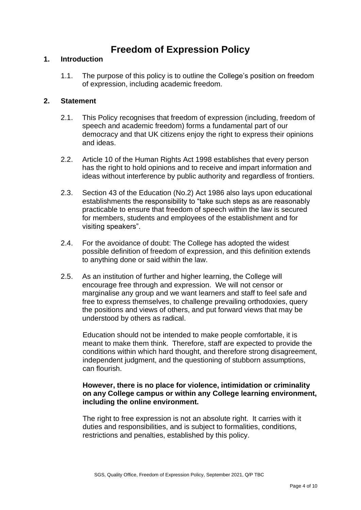# **Freedom of Expression Policy**

#### **1. Introduction**

1.1. The purpose of this policy is to outline the College's position on freedom of expression, including academic freedom.

#### **2. Statement**

- 2.1. This Policy recognises that freedom of expression (including, freedom of speech and academic freedom) forms a fundamental part of our democracy and that UK citizens enjoy the right to express their opinions and ideas.
- 2.2. Article 10 of the Human Rights Act 1998 establishes that every person has the right to hold opinions and to receive and impart information and ideas without interference by public authority and regardless of frontiers.
- 2.3. Section 43 of the Education (No.2) Act 1986 also lays upon educational establishments the responsibility to "take such steps as are reasonably practicable to ensure that freedom of speech within the law is secured for members, students and employees of the establishment and for visiting speakers".
- 2.4. For the avoidance of doubt: The College has adopted the widest possible definition of freedom of expression, and this definition extends to anything done or said within the law.
- 2.5. As an institution of further and higher learning, the College will encourage free through and expression. We will not censor or marginalise any group and we want learners and staff to feel safe and free to express themselves, to challenge prevailing orthodoxies, query the positions and views of others, and put forward views that may be understood by others as radical.

Education should not be intended to make people comfortable, it is meant to make them think. Therefore, staff are expected to provide the conditions within which hard thought, and therefore strong disagreement, independent judgment, and the questioning of stubborn assumptions, can flourish.

# **However, there is no place for violence, intimidation or criminality on any College campus or within any College learning environment, including the online environment.**

The right to free expression is not an absolute right. It carries with it duties and responsibilities, and is subject to formalities, conditions, restrictions and penalties, established by this policy.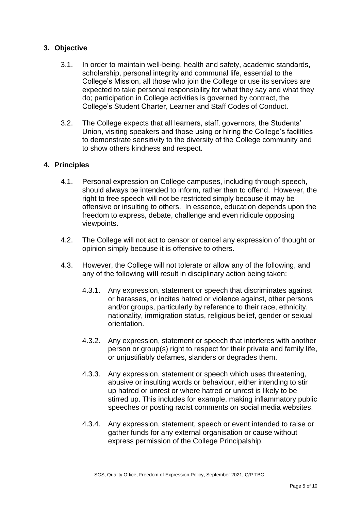# **3. Objective**

- 3.1. In order to maintain well-being, health and safety, academic standards, scholarship, personal integrity and communal life, essential to the College's Mission, all those who join the College or use its services are expected to take personal responsibility for what they say and what they do; participation in College activities is governed by contract, the College's Student Charter, Learner and Staff Codes of Conduct.
- 3.2. The College expects that all learners, staff, governors, the Students' Union, visiting speakers and those using or hiring the College's facilities to demonstrate sensitivity to the diversity of the College community and to show others kindness and respect.

# **4. Principles**

- 4.1. Personal expression on College campuses, including through speech, should always be intended to inform, rather than to offend. However, the right to free speech will not be restricted simply because it may be offensive or insulting to others. In essence, education depends upon the freedom to express, debate, challenge and even ridicule opposing viewpoints.
- 4.2. The College will not act to censor or cancel any expression of thought or opinion simply because it is offensive to others.
- 4.3. However, the College will not tolerate or allow any of the following, and any of the following **will** result in disciplinary action being taken:
	- 4.3.1. Any expression, statement or speech that discriminates against or harasses, or incites hatred or violence against, other persons and/or groups, particularly by reference to their race, ethnicity, nationality, immigration status, religious belief, gender or sexual orientation.
	- 4.3.2. Any expression, statement or speech that interferes with another person or group(s) right to respect for their private and family life, or unjustifiably defames, slanders or degrades them.
	- 4.3.3. Any expression, statement or speech which uses threatening, abusive or insulting words or behaviour, either intending to stir up hatred or unrest or where hatred or unrest is likely to be stirred up. This includes for example, making inflammatory public speeches or posting racist comments on social media websites.
	- 4.3.4. Any expression, statement, speech or event intended to raise or gather funds for any external organisation or cause without express permission of the College Principalship.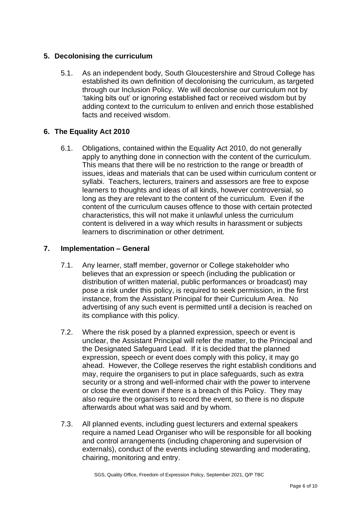# **5. Decolonising the curriculum**

5.1. As an independent body, South Gloucestershire and Stroud College has established its own definition of decolonising the curriculum, as targeted through our Inclusion Policy. We will decolonise our curriculum not by 'taking bits out' or ignoring established fact or received wisdom but by adding context to the curriculum to enliven and enrich those established facts and received wisdom.

# **6. The Equality Act 2010**

6.1. Obligations, contained within the Equality Act 2010, do not generally apply to anything done in connection with the content of the curriculum. This means that there will be no restriction to the range or breadth of issues, ideas and materials that can be used within curriculum content or syllabi. Teachers, lecturers, trainers and assessors are free to expose learners to thoughts and ideas of all kinds, however controversial, so long as they are relevant to the content of the curriculum. Even if the content of the curriculum causes offence to those with certain protected characteristics, this will not make it unlawful unless the curriculum content is delivered in a way which results in harassment or subjects learners to discrimination or other detriment.

# **7. Implementation – General**

- 7.1. Any learner, staff member, governor or College stakeholder who believes that an expression or speech (including the publication or distribution of written material, public performances or broadcast) may pose a risk under this policy, is required to seek permission, in the first instance, from the Assistant Principal for their Curriculum Area. No advertising of any such event is permitted until a decision is reached on its compliance with this policy.
- 7.2. Where the risk posed by a planned expression, speech or event is unclear, the Assistant Principal will refer the matter, to the Principal and the Designated Safeguard Lead. If it is decided that the planned expression, speech or event does comply with this policy, it may go ahead. However, the College reserves the right establish conditions and may, require the organisers to put in place safeguards, such as extra security or a strong and well-informed chair with the power to intervene or close the event down if there is a breach of this Policy. They may also require the organisers to record the event, so there is no dispute afterwards about what was said and by whom.
- 7.3. All planned events, including guest lecturers and external speakers require a named Lead Organiser who will be responsible for all booking and control arrangements (including chaperoning and supervision of externals), conduct of the events including stewarding and moderating, chairing, monitoring and entry.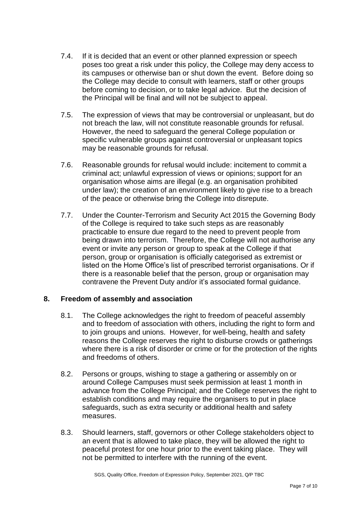- 7.4. If it is decided that an event or other planned expression or speech poses too great a risk under this policy, the College may deny access to its campuses or otherwise ban or shut down the event. Before doing so the College may decide to consult with learners, staff or other groups before coming to decision, or to take legal advice. But the decision of the Principal will be final and will not be subject to appeal.
- 7.5. The expression of views that may be controversial or unpleasant, but do not breach the law, will not constitute reasonable grounds for refusal. However, the need to safeguard the general College population or specific vulnerable groups against controversial or unpleasant topics may be reasonable grounds for refusal.
- 7.6. Reasonable grounds for refusal would include: incitement to commit a criminal act; unlawful expression of views or opinions; support for an organisation whose aims are illegal (e.g. an organisation prohibited under law); the creation of an environment likely to give rise to a breach of the peace or otherwise bring the College into disrepute.
- 7.7. Under the Counter-Terrorism and Security Act 2015 the Governing Body of the College is required to take such steps as are reasonably practicable to ensure due regard to the need to prevent people from being drawn into terrorism. Therefore, the College will not authorise any event or invite any person or group to speak at the College if that person, group or organisation is officially categorised as extremist or listed on the Home Office's list of prescribed terrorist organisations. Or if there is a reasonable belief that the person, group or organisation may contravene the Prevent Duty and/or it's associated formal guidance.

# **8. Freedom of assembly and association**

- 8.1. The College acknowledges the right to freedom of peaceful assembly and to freedom of association with others, including the right to form and to join groups and unions. However, for well-being, health and safety reasons the College reserves the right to disburse crowds or gatherings where there is a risk of disorder or crime or for the protection of the rights and freedoms of others.
- 8.2. Persons or groups, wishing to stage a gathering or assembly on or around College Campuses must seek permission at least 1 month in advance from the College Principal; and the College reserves the right to establish conditions and may require the organisers to put in place safeguards, such as extra security or additional health and safety measures.
- 8.3. Should learners, staff, governors or other College stakeholders object to an event that is allowed to take place, they will be allowed the right to peaceful protest for one hour prior to the event taking place. They will not be permitted to interfere with the running of the event.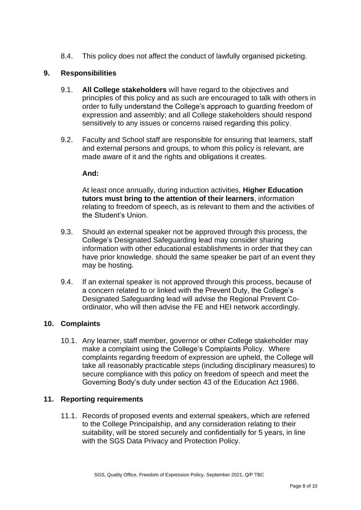8.4. This policy does not affect the conduct of lawfully organised picketing.

# **9. Responsibilities**

- 9.1. **All College stakeholders** will have regard to the objectives and principles of this policy and as such are encouraged to talk with others in order to fully understand the College's approach to guarding freedom of expression and assembly; and all College stakeholders should respond sensitively to any issues or concerns raised regarding this policy.
- 9.2. Faculty and School staff are responsible for ensuring that learners, staff and external persons and groups, to whom this policy is relevant, are made aware of it and the rights and obligations it creates.

#### **And:**

At least once annually, during induction activities, **Higher Education tutors must bring to the attention of their learners**, information relating to freedom of speech, as is relevant to them and the activities of the Student's Union.

- 9.3. Should an external speaker not be approved through this process, the College's Designated Safeguarding lead may consider sharing information with other educational establishments in order that they can have prior knowledge. should the same speaker be part of an event they may be hosting.
- 9.4. If an external speaker is not approved through this process, because of a concern related to or linked with the Prevent Duty, the College's Designated Safeguarding lead will advise the Regional Prevent Coordinator, who will then advise the FE and HEI network accordingly.

# **10. Complaints**

10.1. Any learner, staff member, governor or other College stakeholder may make a complaint using the College's Complaints Policy. Where complaints regarding freedom of expression are upheld, the College will take all reasonably practicable steps (including disciplinary measures) to secure compliance with this policy on freedom of speech and meet the Governing Body's duty under section 43 of the Education Act 1986.

# **11. Reporting requirements**

11.1. Records of proposed events and external speakers, which are referred to the College Principalship, and any consideration relating to their suitability, will be stored securely and confidentially for 5 years, in line with the SGS Data Privacy and Protection Policy.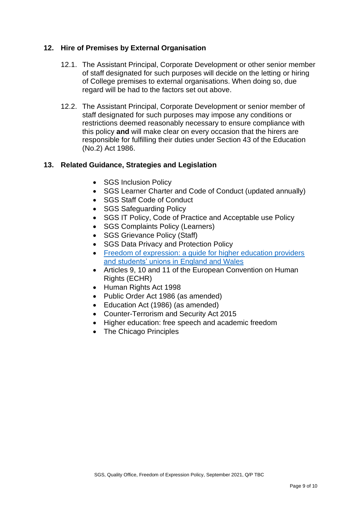# **12. Hire of Premises by External Organisation**

- 12.1. The Assistant Principal, Corporate Development or other senior member of staff designated for such purposes will decide on the letting or hiring of College premises to external organisations. When doing so, due regard will be had to the factors set out above.
- 12.2. The Assistant Principal, Corporate Development or senior member of staff designated for such purposes may impose any conditions or restrictions deemed reasonably necessary to ensure compliance with this policy **and** will make clear on every occasion that the hirers are responsible for fulfilling their duties under Section 43 of the Education (No.2) Act 1986.

# **13. Related Guidance, Strategies and Legislation**

- SGS Inclusion Policy
- SGS Learner Charter and Code of Conduct (updated annually)
- SGS Staff Code of Conduct
- SGS Safeguarding Policy
- SGS IT Policy, Code of Practice and Acceptable use Policy
- SGS Complaints Policy (Learners)
- SGS Grievance Policy (Staff)
- SGS Data Privacy and Protection Policy
- Freedom of expression: a quide for higher education providers [and students' unions in](https://www.equalityhumanrights.com/sites/default/files/freedom-of-expression-guide-for-higher-education-providers-and-students-unions-england-and-wales.pdf) England and Wales
- Articles 9, 10 and 11 of the European Convention on Human Rights (ECHR)
- Human Rights Act 1998
- Public Order Act 1986 (as amended)
- Education Act (1986) (as amended)
- Counter-Terrorism and Security Act 2015
- Higher education: free speech and academic freedom
- The Chicago Principles